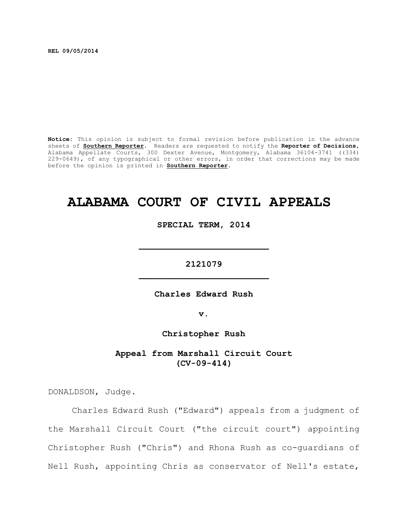**REL 09/05/2014**

**Notice:** This opinion is subject to formal revision before publication in the advance sheets of **Southern Reporter**. Readers are requested to notify the **Reporter of Decisions**, Alabama Appellate Courts, 300 Dexter Avenue, Montgomery, Alabama 36104-3741 ((334) 229-0649), of any typographical or other errors, in order that corrections may be made before the opinion is printed in **Southern Reporter**.

# **ALABAMA COURT OF CIVIL APPEALS**

**SPECIAL TERM, 2014**

**2121079 \_\_\_\_\_\_\_\_\_\_\_\_\_\_\_\_\_\_\_\_\_\_\_\_\_**

**\_\_\_\_\_\_\_\_\_\_\_\_\_\_\_\_\_\_\_\_\_\_\_\_\_**

**Charles Edward Rush**

**v.**

**Christopher Rush**

**Appeal from Marshall Circuit Court (CV-09-414)**

DONALDSON, Judge.

Charles Edward Rush ("Edward") appeals from a judgment of the Marshall Circuit Court ("the circuit court") appointing Christopher Rush ("Chris") and Rhona Rush as co-guardians of Nell Rush, appointing Chris as conservator of Nell's estate,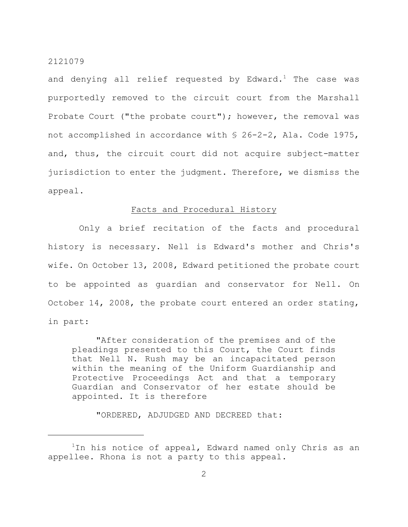and denying all relief requested by Edward.<sup>1</sup> The case was purportedly removed to the circuit court from the Marshall Probate Court ("the probate court"); however, the removal was not accomplished in accordance with § 26-2-2, Ala. Code 1975, and, thus, the circuit court did not acquire subject-matter jurisdiction to enter the judgment. Therefore, we dismiss the appeal.

## Facts and Procedural History

Only a brief recitation of the facts and procedural history is necessary. Nell is Edward's mother and Chris's wife. On October 13, 2008, Edward petitioned the probate court to be appointed as guardian and conservator for Nell. On October 14, 2008, the probate court entered an order stating, in part:

"After consideration of the premises and of the pleadings presented to this Court, the Court finds that Nell N. Rush may be an incapacitated person within the meaning of the Uniform Guardianship and Protective Proceedings Act and that a temporary Guardian and Conservator of her estate should be appointed. It is therefore

"ORDERED, ADJUDGED AND DECREED that:

 $1$ In his notice of appeal, Edward named only Chris as an appellee. Rhona is not a party to this appeal.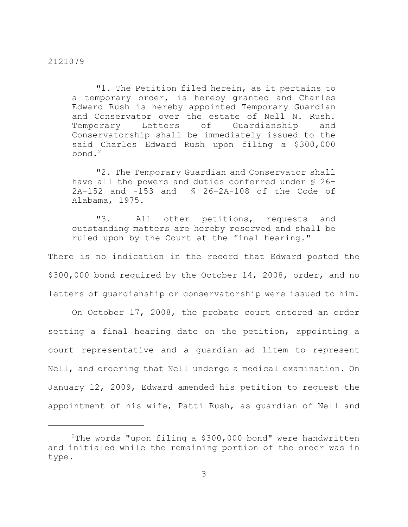"1. The Petition filed herein, as it pertains to a temporary order, is hereby granted and Charles Edward Rush is hereby appointed Temporary Guardian and Conservator over the estate of Nell N. Rush. Temporary Letters of Guardianship and Conservatorship shall be immediately issued to the said Charles Edward Rush upon filing a \$300,000  $bond.<sup>2</sup>$ 

"2. The Temporary Guardian and Conservator shall have all the powers and duties conferred under § 26- 2A-152 and -153 and § 26-2A-108 of the Code of Alabama, 1975.

"3. All other petitions, requests and outstanding matters are hereby reserved and shall be ruled upon by the Court at the final hearing."

There is no indication in the record that Edward posted the \$300,000 bond required by the October 14, 2008, order, and no letters of guardianship or conservatorship were issued to him.

On October 17, 2008, the probate court entered an order setting a final hearing date on the petition, appointing a court representative and a guardian ad litem to represent Nell, and ordering that Nell undergo a medical examination. On January 12, 2009, Edward amended his petition to request the appointment of his wife, Patti Rush, as guardian of Nell and

<sup>&</sup>lt;sup>2</sup>The words "upon filing a \$300,000 bond" were handwritten and initialed while the remaining portion of the order was in type.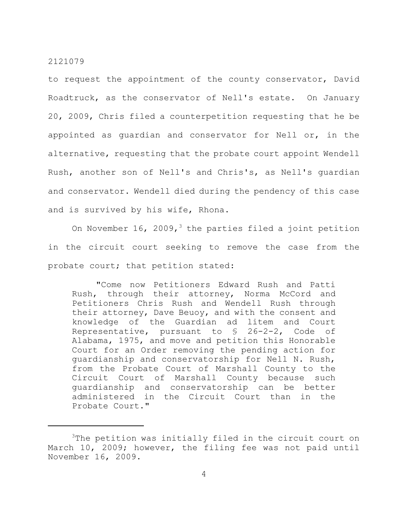to request the appointment of the county conservator, David Roadtruck, as the conservator of Nell's estate. On January 20, 2009, Chris filed a counterpetition requesting that he be appointed as guardian and conservator for Nell or, in the alternative, requesting that the probate court appoint Wendell Rush, another son of Nell's and Chris's, as Nell's guardian and conservator. Wendell died during the pendency of this case and is survived by his wife, Rhona.

On November 16, 2009,<sup>3</sup> the parties filed a joint petition in the circuit court seeking to remove the case from the probate court; that petition stated:

"Come now Petitioners Edward Rush and Patti Rush, through their attorney, Norma McCord and Petitioners Chris Rush and Wendell Rush through their attorney, Dave Beuoy, and with the consent and knowledge of the Guardian ad litem and Court Representative, pursuant to § 26-2-2, Code of Alabama, 1975, and move and petition this Honorable Court for an Order removing the pending action for guardianship and conservatorship for Nell N. Rush, from the Probate Court of Marshall County to the Circuit Court of Marshall County because such guardianship and conservatorship can be better administered in the Circuit Court than in the Probate Court."

 $3$ The petition was initially filed in the circuit court on March 10, 2009; however, the filing fee was not paid until November 16, 2009.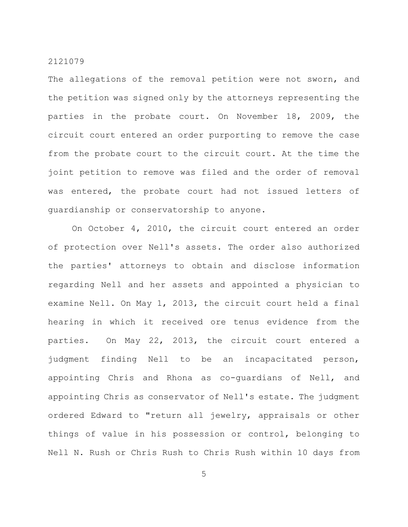The allegations of the removal petition were not sworn, and the petition was signed only by the attorneys representing the parties in the probate court. On November 18, 2009, the circuit court entered an order purporting to remove the case from the probate court to the circuit court. At the time the joint petition to remove was filed and the order of removal was entered, the probate court had not issued letters of guardianship or conservatorship to anyone.

On October 4, 2010, the circuit court entered an order of protection over Nell's assets. The order also authorized the parties' attorneys to obtain and disclose information regarding Nell and her assets and appointed a physician to examine Nell. On May 1, 2013, the circuit court held a final hearing in which it received ore tenus evidence from the parties. On May 22, 2013, the circuit court entered a judgment finding Nell to be an incapacitated person, appointing Chris and Rhona as co-guardians of Nell, and appointing Chris as conservator of Nell's estate. The judgment ordered Edward to "return all jewelry, appraisals or other things of value in his possession or control, belonging to Nell N. Rush or Chris Rush to Chris Rush within 10 days from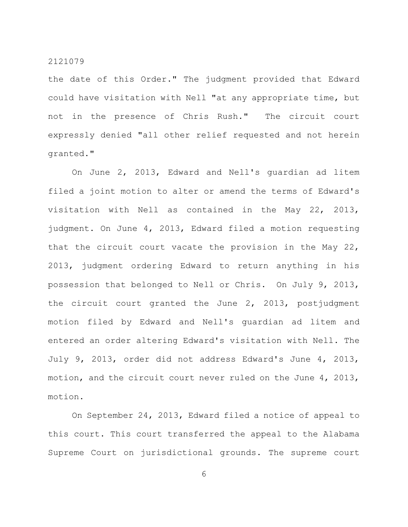the date of this Order." The judgment provided that Edward could have visitation with Nell "at any appropriate time, but not in the presence of Chris Rush." The circuit court expressly denied "all other relief requested and not herein granted."

On June 2, 2013, Edward and Nell's guardian ad litem filed a joint motion to alter or amend the terms of Edward's visitation with Nell as contained in the May 22, 2013, judgment. On June 4, 2013, Edward filed a motion requesting that the circuit court vacate the provision in the May 22, 2013, judgment ordering Edward to return anything in his possession that belonged to Nell or Chris. On July 9, 2013, the circuit court granted the June 2, 2013, postjudgment motion filed by Edward and Nell's guardian ad litem and entered an order altering Edward's visitation with Nell. The July 9, 2013, order did not address Edward's June 4, 2013, motion, and the circuit court never ruled on the June 4, 2013, motion.

On September 24, 2013, Edward filed a notice of appeal to this court. This court transferred the appeal to the Alabama Supreme Court on jurisdictional grounds. The supreme court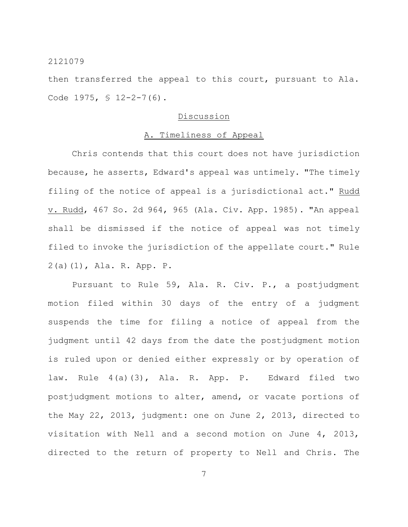then transferred the appeal to this court, pursuant to Ala. Code 1975, § 12-2-7(6).

## Discussion

## A. Timeliness of Appeal

Chris contends that this court does not have jurisdiction because, he asserts, Edward's appeal was untimely. "The timely filing of the notice of appeal is a jurisdictional act." Rudd v. Rudd, 467 So. 2d 964, 965 (Ala. Civ. App. 1985). "An appeal shall be dismissed if the notice of appeal was not timely filed to invoke the jurisdiction of the appellate court." Rule 2(a)(1), Ala. R. App. P.

Pursuant to Rule 59, Ala. R. Civ. P., a postjudgment motion filed within 30 days of the entry of a judgment suspends the time for filing a notice of appeal from the judgment until 42 days from the date the postjudgment motion is ruled upon or denied either expressly or by operation of law. Rule 4(a)(3), Ala. R. App. P. Edward filed two postjudgment motions to alter, amend, or vacate portions of the May 22, 2013, judgment: one on June 2, 2013, directed to visitation with Nell and a second motion on June 4, 2013, directed to the return of property to Nell and Chris. The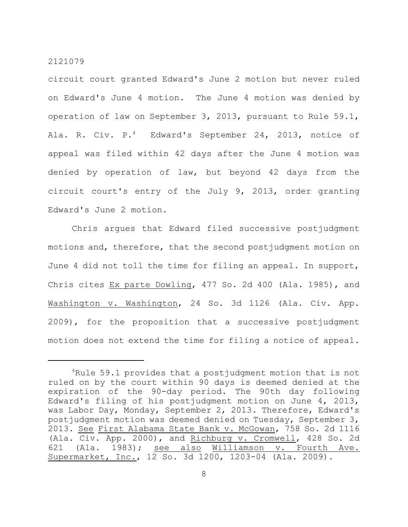circuit court granted Edward's June 2 motion but never ruled on Edward's June 4 motion. The June 4 motion was denied by operation of law on September 3, 2013, pursuant to Rule 59.1, Ala. R. Civ. P. $<sup>4</sup>$  Edward's September 24, 2013, notice of</sup> appeal was filed within 42 days after the June 4 motion was denied by operation of law, but beyond 42 days from the circuit court's entry of the July 9, 2013, order granting Edward's June 2 motion.

Chris argues that Edward filed successive postjudgment motions and, therefore, that the second postjudgment motion on June 4 did not toll the time for filing an appeal. In support, Chris cites Ex parte Dowling, 477 So. 2d 400 (Ala. 1985), and Washington v. Washington, 24 So. 3d 1126 (Ala. Civ. App. 2009), for the proposition that a successive postjudgment motion does not extend the time for filing a notice of appeal.

 $4$ Rule 59.1 provides that a postjudgment motion that is not ruled on by the court within 90 days is deemed denied at the expiration of the 90-day period. The 90th day following Edward's filing of his postjudgment motion on June 4, 2013, was Labor Day, Monday, September 2, 2013. Therefore, Edward's postjudgment motion was deemed denied on Tuesday, September 3, 2013. See First Alabama State Bank v. McGowan, 758 So. 2d 1116 (Ala. Civ. App. 2000), and Richburg v. Cromwell, 428 So. 2d 621 (Ala. 1983); see also Williamson v. Fourth Ave. Supermarket, Inc., 12 So. 3d 1200, 1203-04 (Ala. 2009).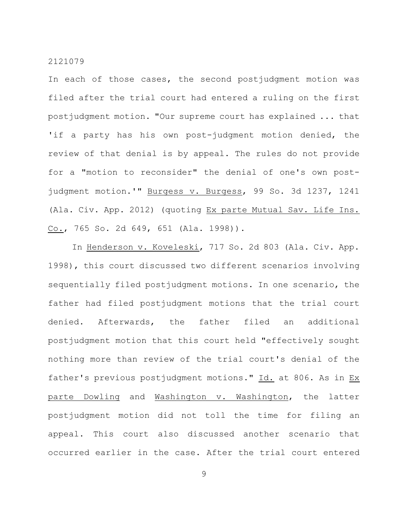In each of those cases, the second postjudgment motion was filed after the trial court had entered a ruling on the first postjudgment motion. "Our supreme court has explained ... that 'if a party has his own post-judgment motion denied, the review of that denial is by appeal. The rules do not provide for a "motion to reconsider" the denial of one's own postjudgment motion.'" Burgess v. Burgess, 99 So. 3d 1237, 1241 (Ala. Civ. App. 2012) (quoting Ex parte Mutual Sav. Life Ins. Co., 765 So. 2d 649, 651 (Ala. 1998)).

In Henderson v. Koveleski, 717 So. 2d 803 (Ala. Civ. App. 1998), this court discussed two different scenarios involving sequentially filed postjudgment motions. In one scenario, the father had filed postjudgment motions that the trial court denied. Afterwards, the father filed an additional postjudgment motion that this court held "effectively sought nothing more than review of the trial court's denial of the father's previous postjudgment motions." Id. at 806. As in Ex parte Dowling and Washington v. Washington, the latter postjudgment motion did not toll the time for filing an appeal. This court also discussed another scenario that occurred earlier in the case. After the trial court entered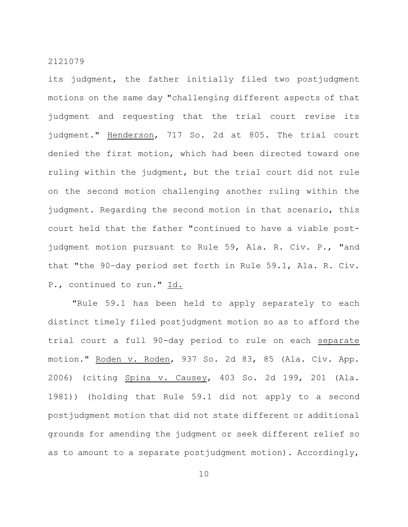its judgment, the father initially filed two postjudgment motions on the same day "challenging different aspects of that judgment and requesting that the trial court revise its judgment." Henderson, 717 So. 2d at 805. The trial court denied the first motion, which had been directed toward one ruling within the judgment, but the trial court did not rule on the second motion challenging another ruling within the judgment. Regarding the second motion in that scenario, this court held that the father "continued to have a viable postjudgment motion pursuant to Rule 59, Ala. R. Civ. P., "and that "the 90–day period set forth in Rule 59.1, Ala. R. Civ. P., continued to run." Id.

"Rule 59.1 has been held to apply separately to each distinct timely filed postjudgment motion so as to afford the trial court a full 90-day period to rule on each separate motion." Roden v. Roden, 937 So. 2d 83, 85 (Ala. Civ. App. 2006) (citing Spina v. Causey, 403 So. 2d 199, 201 (Ala. 1981)) (holding that Rule 59.1 did not apply to a second postjudgment motion that did not state different or additional grounds for amending the judgment or seek different relief so as to amount to a separate postjudgment motion). Accordingly,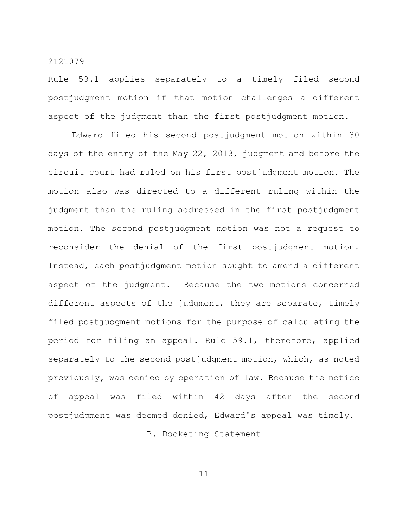Rule 59.1 applies separately to a timely filed second postjudgment motion if that motion challenges a different aspect of the judgment than the first postjudgment motion.

Edward filed his second postjudgment motion within 30 days of the entry of the May 22, 2013, judgment and before the circuit court had ruled on his first postjudgment motion. The motion also was directed to a different ruling within the judgment than the ruling addressed in the first postjudgment motion. The second postjudgment motion was not a request to reconsider the denial of the first postjudgment motion. Instead, each postjudgment motion sought to amend a different aspect of the judgment. Because the two motions concerned different aspects of the judgment, they are separate, timely filed postjudgment motions for the purpose of calculating the period for filing an appeal. Rule 59.1, therefore, applied separately to the second postjudgment motion, which, as noted previously, was denied by operation of law. Because the notice of appeal was filed within 42 days after the second postjudgment was deemed denied, Edward's appeal was timely.

## B. Docketing Statement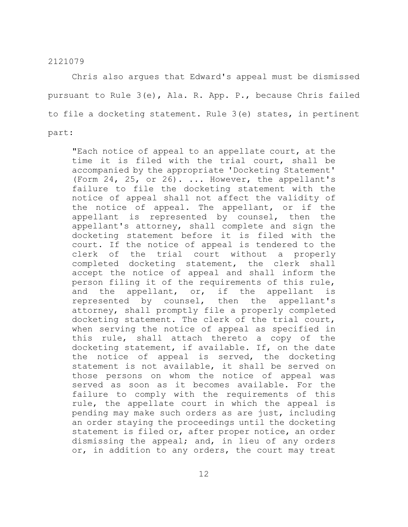Chris also argues that Edward's appeal must be dismissed pursuant to Rule 3(e), Ala. R. App. P., because Chris failed to file a docketing statement. Rule 3(e) states, in pertinent part:

"Each notice of appeal to an appellate court, at the time it is filed with the trial court, shall be accompanied by the appropriate 'Docketing Statement' (Form 24, 25, or 26). ... However, the appellant's failure to file the docketing statement with the notice of appeal shall not affect the validity of the notice of appeal. The appellant, or if the appellant is represented by counsel, then the appellant's attorney, shall complete and sign the docketing statement before it is filed with the court. If the notice of appeal is tendered to the clerk of the trial court without a properly completed docketing statement, the clerk shall accept the notice of appeal and shall inform the person filing it of the requirements of this rule, and the appellant, or, if the appellant is represented by counsel, then the appellant's attorney, shall promptly file a properly completed docketing statement. The clerk of the trial court, when serving the notice of appeal as specified in this rule, shall attach thereto a copy of the docketing statement, if available. If, on the date the notice of appeal is served, the docketing statement is not available, it shall be served on those persons on whom the notice of appeal was served as soon as it becomes available. For the failure to comply with the requirements of this rule, the appellate court in which the appeal is pending may make such orders as are just, including an order staying the proceedings until the docketing statement is filed or, after proper notice, an order dismissing the appeal; and, in lieu of any orders or, in addition to any orders, the court may treat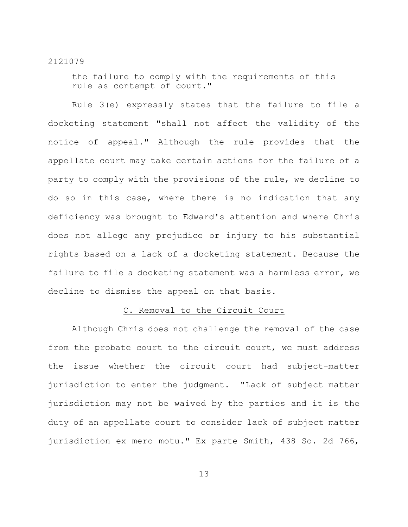the failure to comply with the requirements of this rule as contempt of court."

Rule 3(e) expressly states that the failure to file a docketing statement "shall not affect the validity of the notice of appeal." Although the rule provides that the appellate court may take certain actions for the failure of a party to comply with the provisions of the rule, we decline to do so in this case, where there is no indication that any deficiency was brought to Edward's attention and where Chris does not allege any prejudice or injury to his substantial rights based on a lack of a docketing statement. Because the failure to file a docketing statement was a harmless error, we decline to dismiss the appeal on that basis.

## C. Removal to the Circuit Court

Although Chris does not challenge the removal of the case from the probate court to the circuit court, we must address the issue whether the circuit court had subject-matter jurisdiction to enter the judgment. "Lack of subject matter jurisdiction may not be waived by the parties and it is the duty of an appellate court to consider lack of subject matter jurisdiction ex mero motu." Ex parte Smith, 438 So. 2d 766,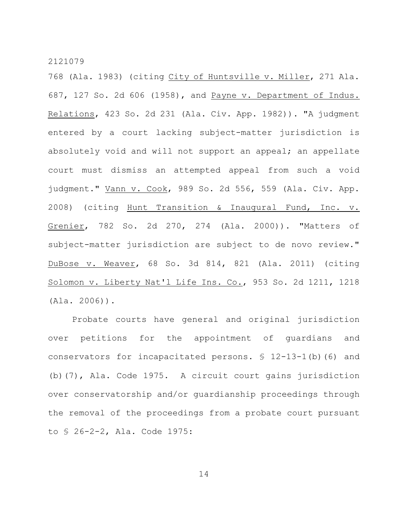768 (Ala. 1983) (citing City of Huntsville v. Miller, 271 Ala. 687, 127 So. 2d 606 (1958), and Payne v. Department of Indus. Relations, 423 So. 2d 231 (Ala. Civ. App. 1982)). "A judgment entered by a court lacking subject-matter jurisdiction is absolutely void and will not support an appeal; an appellate court must dismiss an attempted appeal from such a void judgment." Vann v. Cook, 989 So. 2d 556, 559 (Ala. Civ. App. 2008) (citing Hunt Transition & Inaugural Fund, Inc. v. Grenier, 782 So. 2d 270, 274 (Ala. 2000)). "Matters of subject-matter jurisdiction are subject to de novo review." DuBose v. Weaver, 68 So. 3d 814, 821 (Ala. 2011) (citing Solomon v. Liberty Nat'l Life Ins. Co., 953 So. 2d 1211, 1218 (Ala. 2006)).

Probate courts have general and original jurisdiction over petitions for the appointment of guardians and conservators for incapacitated persons. § 12-13-1(b)(6) and (b)(7), Ala. Code 1975. A circuit court gains jurisdiction over conservatorship and/or guardianship proceedings through the removal of the proceedings from a probate court pursuant to § 26-2-2, Ala. Code 1975: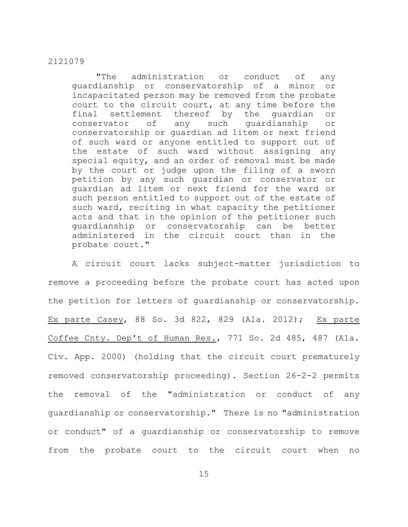"The administration or conduct of any guardianship or conservatorship of a minor or incapacitated person may be removed from the probate court to the circuit court, at any time before the final settlement thereof by the guardian or conservator of any such guardianship or conservatorship or guardian ad litem or next friend of such ward or anyone entitled to support out of the estate of such ward without assigning any special equity, and an order of removal must be made by the court or judge upon the filing of a sworn petition by any such guardian or conservator or guardian ad litem or next friend for the ward or such person entitled to support out of the estate of such ward, reciting in what capacity the petitioner acts and that in the opinion of the petitioner such guardianship or conservatorship can be better administered in the circuit court than in the probate court."

A circuit court lacks subject-matter jurisdiction to remove a proceeding before the probate court has acted upon the petition for letters of guardianship or conservatorship. Ex parte Casey, 88 So. 3d 822, 829 (Ala. 2012); Ex parte Coffee Cnty. Dep't of Human Res., 771 So. 2d 485, 487 (Ala. Civ. App. 2000) (holding that the circuit court prematurely removed conservatorship proceeding). Section 26-2-2 permits the removal of the "administration or conduct of any guardianship or conservatorship." There is no "administration or conduct" of a guardianship or conservatorship to remove from the probate court to the circuit court when no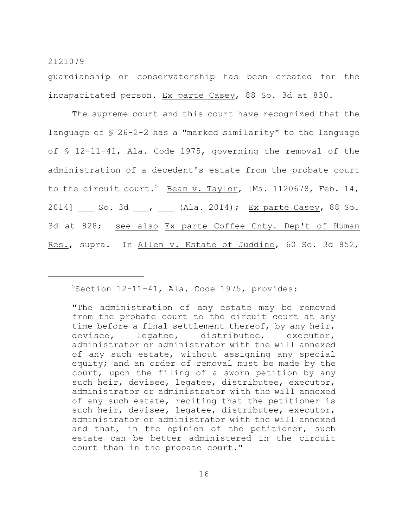guardianship or conservatorship has been created for the incapacitated person. Ex parte Casey, 88 So. 3d at 830.

The supreme court and this court have recognized that the language of § 26-2-2 has a "marked similarity" to the language of § 12–11–41, Ala. Code 1975, governing the removal of the administration of a decedent's estate from the probate court to the circuit court.<sup>5</sup> Beam v. Taylor, [Ms. 1120678, Feb. 14, 2014] \_\_\_ So. 3d \_\_\_, \_\_\_ (Ala. 2014); Ex parte Casey, 88 So. 3d at 828; see also Ex parte Coffee Cnty. Dep't of Human Res., supra. In Allen v. Estate of Juddine, 60 So. 3d 852,

## $5$ Section 12-11-41, Ala. Code 1975, provides:

<sup>&</sup>quot;The administration of any estate may be removed from the probate court to the circuit court at any time before a final settlement thereof, by any heir, devisee, legatee, distributee, executor, administrator or administrator with the will annexed of any such estate, without assigning any special equity; and an order of removal must be made by the court, upon the filing of a sworn petition by any such heir, devisee, legatee, distributee, executor, administrator or administrator with the will annexed of any such estate, reciting that the petitioner is such heir, devisee, legatee, distributee, executor, administrator or administrator with the will annexed and that, in the opinion of the petitioner, such estate can be better administered in the circuit court than in the probate court."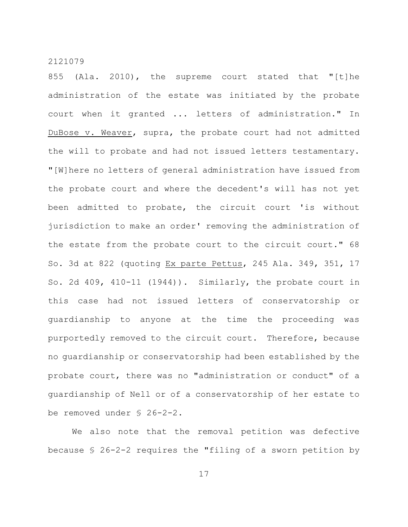855 (Ala. 2010), the supreme court stated that "[t]he administration of the estate was initiated by the probate court when it granted ... letters of administration." In DuBose v. Weaver, supra, the probate court had not admitted the will to probate and had not issued letters testamentary. "[W]here no letters of general administration have issued from the probate court and where the decedent's will has not yet been admitted to probate, the circuit court 'is without jurisdiction to make an order' removing the administration of the estate from the probate court to the circuit court." 68 So. 3d at 822 (quoting Ex parte Pettus, 245 Ala. 349, 351, 17 So. 2d 409, 410-11 (1944)). Similarly, the probate court in this case had not issued letters of conservatorship or guardianship to anyone at the time the proceeding was purportedly removed to the circuit court. Therefore, because no guardianship or conservatorship had been established by the probate court, there was no "administration or conduct" of a guardianship of Nell or of a conservatorship of her estate to be removed under § 26-2-2.

We also note that the removal petition was defective because § 26-2-2 requires the "filing of a sworn petition by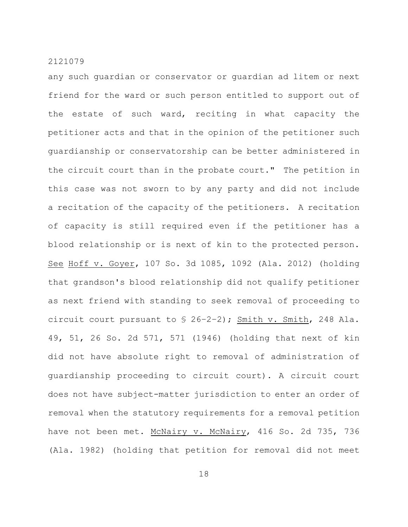any such guardian or conservator or guardian ad litem or next friend for the ward or such person entitled to support out of the estate of such ward, reciting in what capacity the petitioner acts and that in the opinion of the petitioner such guardianship or conservatorship can be better administered in the circuit court than in the probate court." The petition in this case was not sworn to by any party and did not include a recitation of the capacity of the petitioners. A recitation of capacity is still required even if the petitioner has a blood relationship or is next of kin to the protected person. See Hoff v. Goyer, 107 So. 3d 1085, 1092 (Ala. 2012) (holding that grandson's blood relationship did not qualify petitioner as next friend with standing to seek removal of proceeding to circuit court pursuant to § 26–2–2); Smith v. Smith, 248 Ala. 49, 51, 26 So. 2d 571, 571 (1946) (holding that next of kin did not have absolute right to removal of administration of guardianship proceeding to circuit court). A circuit court does not have subject-matter jurisdiction to enter an order of removal when the statutory requirements for a removal petition have not been met. McNairy v. McNairy, 416 So. 2d 735, 736 (Ala. 1982) (holding that petition for removal did not meet